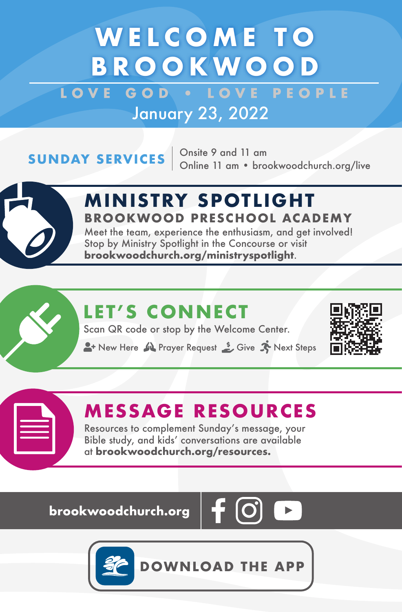## **WELCOME TO BROOKWOOD**

LOVE GOD **. LOVE PEOPLE** January 23, 2022

**SUNDAY SERVICES**  $\begin{array}{r}$  Onsite 9 and 11 am<br>Online 11 am • brookwoodchurch.org/live



### **M IN ISTRY SPOTL IGHT BROOKWOOD PRESCHOOL ACADEMY**

Meet the team, experience the enthusiasm, and get involved! Stop by Ministry Spotlight in the Concourse or visit **brookwoodchurch.org/ministryspotlight**.

### **LET'S CONNECT**

Scan QR code or stop by the Welcome Center.

**A**+ New Here  $\mathbf{M}$  Prayer Request  $\mathbf{S}$  Give  $\mathbf{N}$  Next Steps



### **MESSAGE RESOURCES**

Resources to complement Sunday's message, your Bible study, and kids' conversations are available at **brookwoodchurch.org/resources.**

**brookwoodchurch.org** 





**DOWNLOAD THE APP**